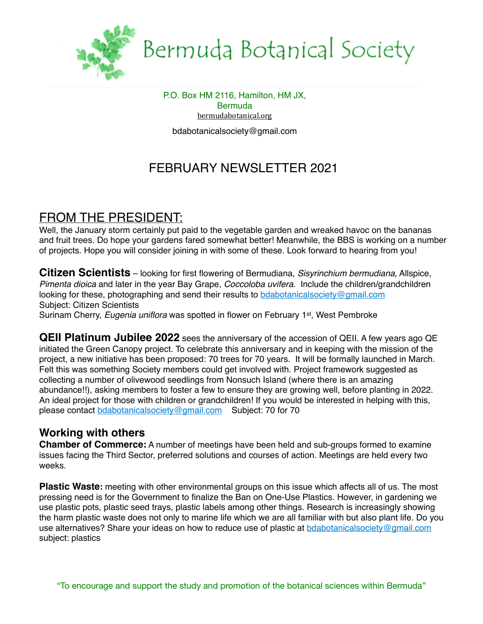

# Bermuda Botanical Society

P.O. Box HM 2116, Hamilton, HM JX, **Bermuda** [bermudabotanical.org](http://bermudabotanical.org) bdabotanicalsociety@gmail.com

# FEBRUARY NEWSLETTER 2021

# FROM THE PRESIDENT:

Well, the January storm certainly put paid to the vegetable garden and wreaked havoc on the bananas and fruit trees. Do hope your gardens fared somewhat better! Meanwhile, the BBS is working on a number of projects. Hope you will consider joining in with some of these. Look forward to hearing from you!

**Citizen Scientists** – looking for first flowering of Bermudiana, *Sisyrinchium bermudiana*, Allspice, *Pimenta dioica* and later in the year Bay Grape, *Coccoloba uvifera*. Include the children/grandchildren looking for these, photographing and send their results to [bdabotanicalsociety@gmail.com](mailto:bdabotanicalsociety@gmail.com) Subject: Citizen Scientists

Surinam Cherry, *Eugenia uniflora* was spotted in flower on February 1st, West Pembroke

**QEII Platinum Jubilee 2022** sees the anniversary of the accession of QEII. A few years ago QE initiated the Green Canopy project. To celebrate this anniversary and in keeping with the mission of the project, a new initiative has been proposed: 70 trees for 70 years. It will be formally launched in March. Felt this was something Society members could get involved with. Project framework suggested as collecting a number of olivewood seedlings from Nonsuch Island (where there is an amazing abundance!!), asking members to foster a few to ensure they are growing well, before planting in 2022. An ideal project for those with children or grandchildren! If you would be interested in helping with this, please contact [bdabotanicalsociety@gmail.com](mailto:bdabotanicalsociety@gmail.com) Subject: 70 for 70

### **Working with others**

**Chamber of Commerce:** A number of meetings have been held and sub-groups formed to examine issues facing the Third Sector, preferred solutions and courses of action. Meetings are held every two weeks.

**Plastic Waste:** meeting with other environmental groups on this issue which affects all of us. The most pressing need is for the Government to finalize the Ban on One-Use Plastics. However, in gardening we use plastic pots, plastic seed trays, plastic labels among other things. Research is increasingly showing the harm plastic waste does not only to marine life which we are all familiar with but also plant life. Do you use alternatives? Share your ideas on how to reduce use of plastic at [bdabotanicalsociety@gmail.com](mailto:bdabotanicalsociety@gmail.com) subject: plastics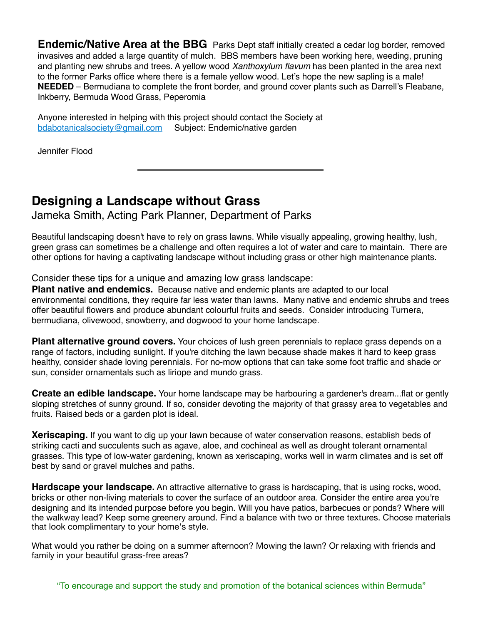**Endemic/Native Area at the BBG** Parks Dept staff initially created a cedar log border, removed invasives and added a large quantity of mulch. BBS members have been working here, weeding, pruning and planting new shrubs and trees. A yellow wood *Xanthoxylum flavum* has been planted in the area next to the former Parks office where there is a female yellow wood. Let's hope the new sapling is a male! **NEEDED** – Bermudiana to complete the front border, and ground cover plants such as Darrell's Fleabane, Inkberry, Bermuda Wood Grass, Peperomia

Anyone interested in helping with this project should contact the Society at [bdabotanicalsociety@gmail.com](mailto:bdabotanicalsociety@gmail.com) Subject: Endemic/native garden

Jennifer Flood

# **Designing a Landscape without Grass**

Jameka Smith, Acting Park Planner, Department of Parks

Beautiful landscaping doesn't have to rely on grass lawns. While visually appealing, growing healthy, lush, green grass can sometimes be a challenge and often requires a lot of water and care to maintain. There are other options for having a captivating landscape without including grass or other high maintenance plants.

Consider these tips for a unique and amazing low grass landscape:

**Plant native and endemics.** Because native and endemic plants are adapted to our local environmental conditions, they require far less water than lawns. Many native and endemic shrubs and trees offer beautiful flowers and produce abundant colourful fruits and seeds. Consider introducing Turnera, bermudiana, olivewood, snowberry, and dogwood to your home landscape.

**Plant alternative ground covers.** Your choices of lush green perennials to replace grass depends on a range of factors, including sunlight. If you're ditching the lawn because shade makes it hard to keep grass healthy, consider shade loving perennials. For no-mow options that can take some foot traffic and shade or sun, consider ornamentals such as liriope and mundo grass.

**Create an edible landscape.** Your home landscape may be harbouring a gardener's dream...flat or gently sloping stretches of sunny ground. If so, consider devoting the majority of that grassy area to vegetables and fruits. Raised beds or a garden plot is ideal.

**Xeriscaping.** If you want to dig up your lawn because of water conservation reasons, establish beds of striking cacti and succulents such as agave, aloe, and cochineal as well as drought tolerant ornamental grasses. This type of low-water gardening, known as xeriscaping, works well in warm climates and is set off best by sand or gravel mulches and paths.

**Hardscape your landscape.** An attractive alternative to grass is hardscaping, that is using rocks, wood, bricks or other non-living materials to cover the surface of an outdoor area. Consider the entire area you're designing and its intended purpose before you begin. Will you have patios, barbecues or ponds? Where will the walkway lead? Keep some greenery around. Find a balance with two or three textures. Choose materials that look complimentary to your home's style.

What would you rather be doing on a summer afternoon? Mowing the lawn? Or relaxing with friends and family in your beautiful grass-free areas?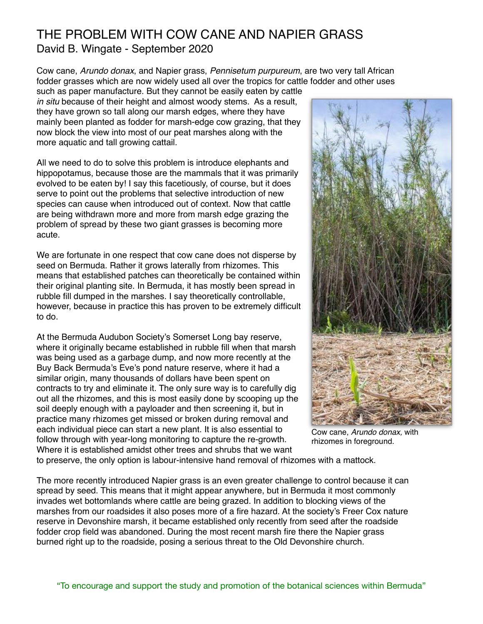## THE PROBLEM WITH COW CANE AND NAPIER GRASS David B. Wingate - September 2020

Cow cane, *Arundo donax*, and Napier grass, *Pennisetum purpureum*, are two very tall African fodder grasses which are now widely used all over the tropics for cattle fodder and other uses

such as paper manufacture. But they cannot be easily eaten by cattle *in situ* because of their height and almost woody stems. As a result, they have grown so tall along our marsh edges, where they have mainly been planted as fodder for marsh-edge cow grazing, that they now block the view into most of our peat marshes along with the more aquatic and tall growing cattail.

All we need to do to solve this problem is introduce elephants and hippopotamus, because those are the mammals that it was primarily evolved to be eaten by! I say this facetiously, of course, but it does serve to point out the problems that selective introduction of new species can cause when introduced out of context. Now that cattle are being withdrawn more and more from marsh edge grazing the problem of spread by these two giant grasses is becoming more acute.

We are fortunate in one respect that cow cane does not disperse by seed on Bermuda. Rather it grows laterally from rhizomes. This means that established patches can theoretically be contained within their original planting site. In Bermuda, it has mostly been spread in rubble fill dumped in the marshes. I say theoretically controllable, however, because in practice this has proven to be extremely difficult to do.

At the Bermuda Audubon Society's Somerset Long bay reserve, where it originally became established in rubble fill when that marsh was being used as a garbage dump, and now more recently at the Buy Back Bermuda's Eve's pond nature reserve, where it had a similar origin, many thousands of dollars have been spent on contracts to try and eliminate it. The only sure way is to carefully dig out all the rhizomes, and this is most easily done by scooping up the soil deeply enough with a payloader and then screening it, but in practice many rhizomes get missed or broken during removal and each individual piece can start a new plant. It is also essential to follow through with year-long monitoring to capture the re-growth. Where it is established amidst other trees and shrubs that we want



Cow cane, *Arundo donax,* with rhizomes in foreground.

to preserve, the only option is labour-intensive hand removal of rhizomes with a mattock.

The more recently introduced Napier grass is an even greater challenge to control because it can spread by seed. This means that it might appear anywhere, but in Bermuda it most commonly invades wet bottomlands where cattle are being grazed. In addition to blocking views of the marshes from our roadsides it also poses more of a fire hazard. At the society's Freer Cox nature reserve in Devonshire marsh, it became established only recently from seed after the roadside fodder crop field was abandoned. During the most recent marsh fire there the Napier grass burned right up to the roadside, posing a serious threat to the Old Devonshire church.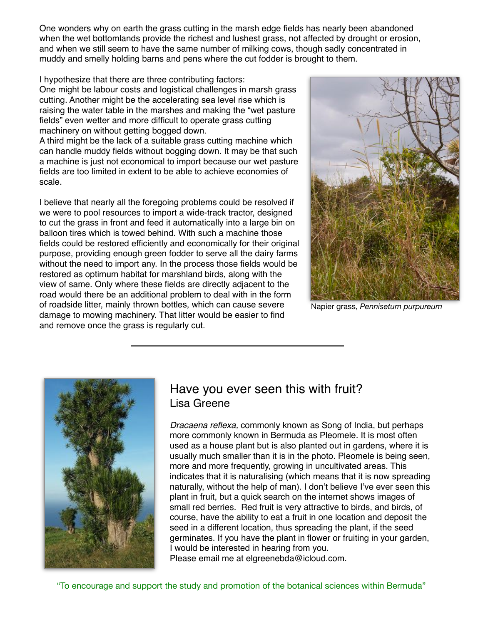One wonders why on earth the grass cutting in the marsh edge fields has nearly been abandoned when the wet bottomlands provide the richest and lushest grass, not affected by drought or erosion, and when we still seem to have the same number of milking cows, though sadly concentrated in muddy and smelly holding barns and pens where the cut fodder is brought to them.

I hypothesize that there are three contributing factors: One might be labour costs and logistical challenges in marsh grass cutting. Another might be the accelerating sea level rise which is raising the water table in the marshes and making the "wet pasture fields" even wetter and more difficult to operate grass cutting machinery on without getting bogged down.

A third might be the lack of a suitable grass cutting machine which can handle muddy fields without bogging down. It may be that such a machine is just not economical to import because our wet pasture fields are too limited in extent to be able to achieve economies of scale.

I believe that nearly all the foregoing problems could be resolved if we were to pool resources to import a wide-track tractor, designed to cut the grass in front and feed it automatically into a large bin on balloon tires which is towed behind. With such a machine those fields could be restored efficiently and economically for their original purpose, providing enough green fodder to serve all the dairy farms without the need to import any. In the process those fields would be restored as optimum habitat for marshland birds, along with the view of same. Only where these fields are directly adjacent to the road would there be an additional problem to deal with in the form of roadside litter, mainly thrown bottles, which can cause severe damage to mowing machinery. That litter would be easier to find and remove once the grass is regularly cut.



Napier grass, *Pennisetum purpureum*



### Have you ever seen this with fruit? Lisa Greene

*Dracaena reflexa,* commonly known as Song of India, but perhaps more commonly known in Bermuda as Pleomele. It is most often used as a house plant but is also planted out in gardens, where it is usually much smaller than it is in the photo. Pleomele is being seen, more and more frequently, growing in uncultivated areas. This indicates that it is naturalising (which means that it is now spreading naturally, without the help of man). I don't believe I've ever seen this plant in fruit, but a quick search on the internet shows images of small red berries. Red fruit is very attractive to birds, and birds, of course, have the ability to eat a fruit in one location and deposit the seed in a different location, thus spreading the plant, if the seed germinates. If you have the plant in flower or fruiting in your garden, I would be interested in hearing from you.

Please email me at elgreenebda@icloud.com.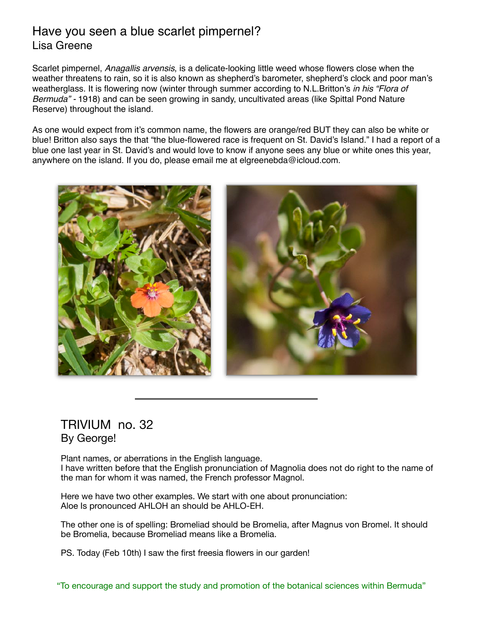### Have you seen a blue scarlet pimpernel? Lisa Greene

Scarlet pimpernel, *Anagallis arvensis*, is a delicate-looking little weed whose flowers close when the weather threatens to rain, so it is also known as shepherd's barometer, shepherd's clock and poor man's weatherglass. It is flowering now (winter through summer according to N.L.Britton's *in his "Flora of Bermuda" -* 1918) and can be seen growing in sandy, uncultivated areas (like Spittal Pond Nature Reserve) throughout the island.

As one would expect from it's common name, the flowers are orange/red BUT they can also be white or blue! Britton also says the that "the blue-flowered race is frequent on St. David's Island." I had a report of a blue one last year in St. David's and would love to know if anyone sees any blue or white ones this year, anywhere on the island. If you do, please email me at elgreenebda@icloud.com.



### TRIVIUM no. 32 By George!

Plant names, or aberrations in the English language. I have written before that the English pronunciation of Magnolia does not do right to the name of the man for whom it was named, the French professor Magnol.

Here we have two other examples. We start with one about pronunciation: Aloe Is pronounced AHLOH an should be AHLO-EH.

The other one is of spelling: Bromeliad should be Bromelia, after Magnus von Bromel. It should be Bromelia, because Bromeliad means like a Bromelia.

PS. Today (Feb 10th) I saw the first freesia flowers in our garden!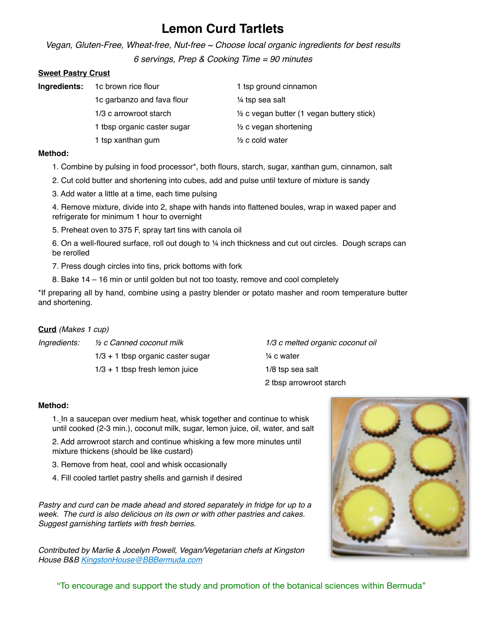# **Lemon Curd Tartlets**

*Vegan, Gluten-Free, Wheat-free, Nut-free ~ Choose local organic ingredients for best results* 

*6 servings, Prep & Cooking Time = 90 minutes*

#### **Sweet Pastry Crust**

| Ingredients: | 1c brown rice flour         | 1 tsp ground cinnamon                      |
|--------------|-----------------------------|--------------------------------------------|
|              | 1c garbanzo and fava flour  | 1/4 tsp sea salt                           |
|              | 1/3 c arrowroot starch      | 1/2 c vegan butter (1 vegan buttery stick) |
|              | 1 tbsp organic caster sugar | $\frac{1}{2}$ c vegan shortening           |
|              | 1 tsp xanthan gum           | $\frac{1}{2}$ c cold water                 |

#### **Method:**

- 1. Combine by pulsing in food processor\*, both flours, starch, sugar, xanthan gum, cinnamon, salt
- 2. Cut cold butter and shortening into cubes, add and pulse until texture of mixture is sandy
- 3. Add water a little at a time, each time pulsing

4. Remove mixture, divide into 2, shape with hands into flattened boules, wrap in waxed paper and refrigerate for minimum 1 hour to overnight

5. Preheat oven to 375 F, spray tart tins with canola oil

6. On a well-floured surface, roll out dough to ¼ inch thickness and cut out circles. Dough scraps can be rerolled

- 7. Press dough circles into tins, prick bottoms with fork
- 8. Bake 14 16 min or until golden but not too toasty, remove and cool completely

\*If preparing all by hand, combine using a pastry blender or potato masher and room temperature butter and shortening.

#### **Curd** *(Makes 1 cup)*

*Ingredients:* ½ *c Canned coconut milk 1/3 c melted organic coconut oil*

 $1/3 + 1$  tbsp organic caster sugar  $\frac{1}{4}$  c water  $1/3 + 1$  tbsp fresh lemon juice  $1/8$  tsp sea salt

2 tbsp arrowroot starch

#### **Method:**

1. In a saucepan over medium heat, whisk together and continue to whisk until cooked (2-3 min.), coconut milk, sugar, lemon juice, oil, water, and salt

2. Add arrowroot starch and continue whisking a few more minutes until mixture thickens (should be like custard)

- 3. Remove from heat, cool and whisk occasionally
- 4. Fill cooled tartlet pastry shells and garnish if desired

*Pastry and curd can be made ahead and stored separately in fridge for up to a week. The curd is also delicious on its own or with other pastries and cakes. Suggest garnishing tartlets with fresh berries.*

*Contributed by Marlie & Jocelyn Powell, Vegan/Vegetarian chefs at Kingston House B&B [KingstonHouse@BBBermuda.com](mailto:KingstonHouse@BBBermuda.com)*



"To encourage and support the study and promotion of the botanical sciences within Bermuda"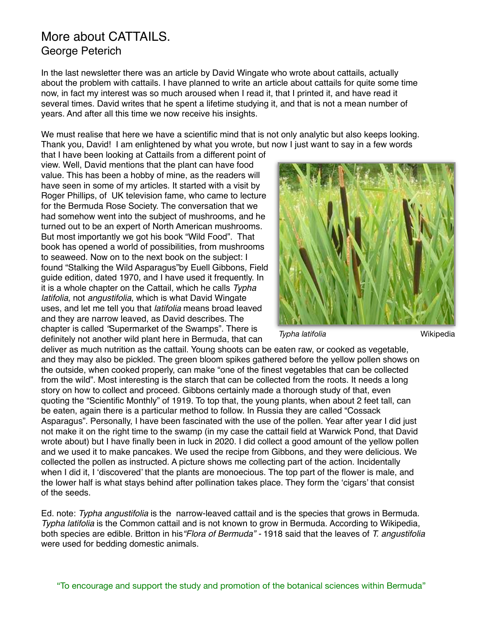### More about CATTAILS. George Peterich

In the last newsletter there was an article by David Wingate who wrote about cattails, actually about the problem with cattails. I have planned to write an article about cattails for quite some time now, in fact my interest was so much aroused when I read it, that I printed it, and have read it several times. David writes that he spent a lifetime studying it, and that is not a mean number of years. And after all this time we now receive his insights.

We must realise that here we have a scientific mind that is not only analytic but also keeps looking. Thank you, David! I am enlightened by what you wrote, but now I just want to say in a few words

that I have been looking at Cattails from a different point of view. Well, David mentions that the plant can have food value. This has been a hobby of mine, as the readers will have seen in some of my articles. It started with a visit by Roger Phillips, of UK television fame, who came to lecture for the Bermuda Rose Society. The conversation that we had somehow went into the subject of mushrooms, and he turned out to be an expert of North American mushrooms. But most importantly we got his book "Wild Food". That book has opened a world of possibilities, from mushrooms to seaweed. Now on to the next book on the subject: I found "Stalking the Wild Asparagus"by Euell Gibbons, Field guide edition, dated 1970, and I have used it frequently. In it is a whole chapter on the Cattail, which he calls *Typha latifolia*, not *angustifolia*, which is what David Wingate uses, and let me tell you that *latifolia* means broad leaved and they are narrow leaved, as David describes. The chapter is called *"*Supermarket of the Swamps". There is definitely not another wild plant here in Bermuda, that can



**Typha latifolia Wikipedia** 

deliver as much nutrition as the cattail. Young shoots can be eaten raw, or cooked as vegetable, and they may also be pickled. The green bloom spikes gathered before the yellow pollen shows on the outside, when cooked properly, can make "one of the finest vegetables that can be collected from the wild". Most interesting is the starch that can be collected from the roots. It needs a long story on how to collect and proceed. Gibbons certainly made a thorough study of that, even quoting the "Scientific Monthly" of 1919. To top that, the young plants, when about 2 feet tall, can be eaten, again there is a particular method to follow. In Russia they are called "Cossack Asparagus". Personally, I have been fascinated with the use of the pollen. Year after year I did just not make it on the right time to the swamp (in my case the cattail field at Warwick Pond, that David wrote about) but I have finally been in luck in 2020. I did collect a good amount of the yellow pollen and we used it to make pancakes. We used the recipe from Gibbons, and they were delicious. We collected the pollen as instructed. A picture shows me collecting part of the action. Incidentally when I did it, I 'discovered' that the plants are monoecious. The top part of the flower is male, and the lower half is what stays behind after pollination takes place. They form the 'cigars' that consist of the seeds.

Ed. note: *Typha angustifolia* is the narrow-leaved cattail and is the species that grows in Bermuda. *Typha latifolia* is the Common cattail and is not known to grow in Bermuda. According to Wikipedia, both species are edible. Britton in his*"Flora of Bermuda" -* 1918 said that the leaves of *T. angustifolia* were used for bedding domestic animals.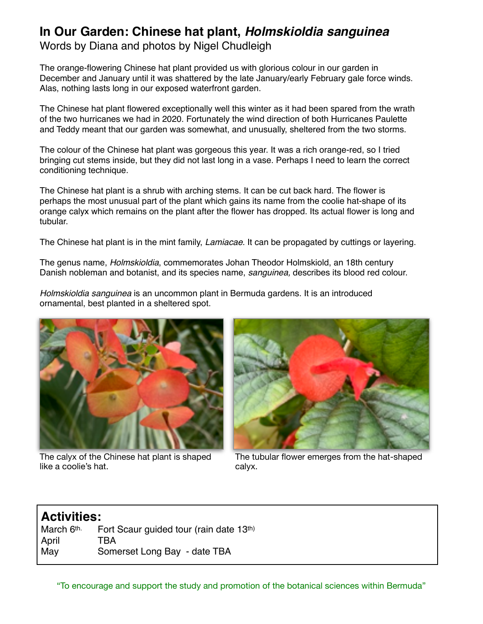# **In Our Garden: Chinese hat plant,** *Holmskioldia sanguinea*

Words by Diana and photos by Nigel Chudleigh

The orange-flowering Chinese hat plant provided us with glorious colour in our garden in December and January until it was shattered by the late January/early February gale force winds. Alas, nothing lasts long in our exposed waterfront garden.

The Chinese hat plant flowered exceptionally well this winter as it had been spared from the wrath of the two hurricanes we had in 2020. Fortunately the wind direction of both Hurricanes Paulette and Teddy meant that our garden was somewhat, and unusually, sheltered from the two storms.

The colour of the Chinese hat plant was gorgeous this year. It was a rich orange-red, so I tried bringing cut stems inside, but they did not last long in a vase. Perhaps I need to learn the correct conditioning technique.

The Chinese hat plant is a shrub with arching stems. It can be cut back hard. The flower is perhaps the most unusual part of the plant which gains its name from the coolie hat-shape of its orange calyx which remains on the plant after the flower has dropped. Its actual flower is long and tubular.

The Chinese hat plant is in the mint family, *Lamiacae*. It can be propagated by cuttings or layering.

The genus name, *Holmskioldia*, commemorates Johan Theodor Holmskiold, an 18th century Danish nobleman and botanist, and its species name, *sanguinea,* describes its blood red colour.

*Holmskioldia sanguinea* is an uncommon plant in Bermuda gardens. It is an introduced ornamental, best planted in a sheltered spot.



The calyx of the Chinese hat plant is shaped like a coolie's hat.



The tubular flower emerges from the hat-shaped calyx.

### **Activities:**

March 6th. Fort Scaur guided tour (rain date 13th) April TBA May Somerset Long Bay - date TBA